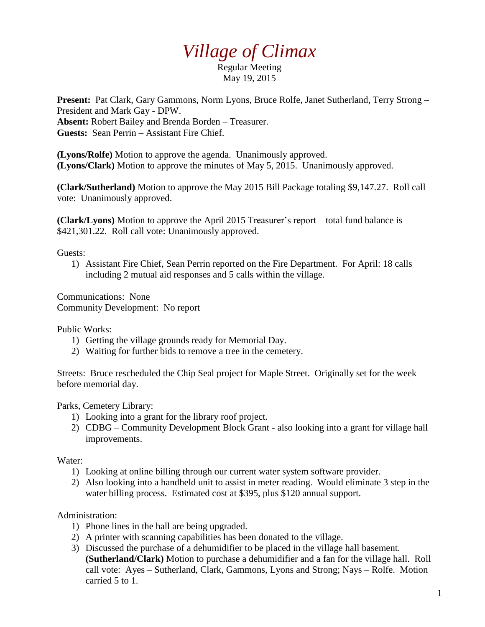## *Village of Climax*

Regular Meeting May 19, 2015

**Present:** Pat Clark, Gary Gammons, Norm Lyons, Bruce Rolfe, Janet Sutherland, Terry Strong – President and Mark Gay - DPW. **Absent:** Robert Bailey and Brenda Borden – Treasurer. **Guests:** Sean Perrin – Assistant Fire Chief.

**(Lyons/Rolfe)** Motion to approve the agenda. Unanimously approved. **(Lyons/Clark)** Motion to approve the minutes of May 5, 2015. Unanimously approved.

**(Clark/Sutherland)** Motion to approve the May 2015 Bill Package totaling \$9,147.27. Roll call vote: Unanimously approved.

**(Clark/Lyons)** Motion to approve the April 2015 Treasurer's report – total fund balance is \$421,301.22. Roll call vote: Unanimously approved.

Guests:

1) Assistant Fire Chief, Sean Perrin reported on the Fire Department. For April: 18 calls including 2 mutual aid responses and 5 calls within the village.

Communications: None Community Development: No report

Public Works:

- 1) Getting the village grounds ready for Memorial Day.
- 2) Waiting for further bids to remove a tree in the cemetery.

Streets: Bruce rescheduled the Chip Seal project for Maple Street. Originally set for the week before memorial day.

Parks, Cemetery Library:

- 1) Looking into a grant for the library roof project.
- 2) CDBG Community Development Block Grant also looking into a grant for village hall improvements.

## Water:

- 1) Looking at online billing through our current water system software provider.
- 2) Also looking into a handheld unit to assist in meter reading. Would eliminate 3 step in the water billing process. Estimated cost at \$395, plus \$120 annual support.

## Administration:

- 1) Phone lines in the hall are being upgraded.
- 2) A printer with scanning capabilities has been donated to the village.
- 3) Discussed the purchase of a dehumidifier to be placed in the village hall basement. **(Sutherland/Clark)** Motion to purchase a dehumidifier and a fan for the village hall. Roll call vote: Ayes – Sutherland, Clark, Gammons, Lyons and Strong; Nays – Rolfe. Motion carried 5 to 1.